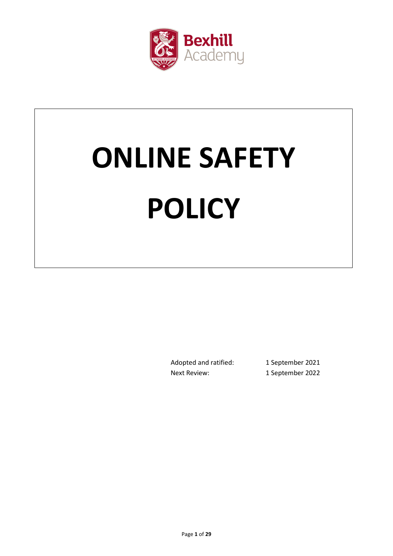

# **ONLINE SAFETY POLICY**

Adopted and ratified: 1 September 2021 Next Review: 1 September 2022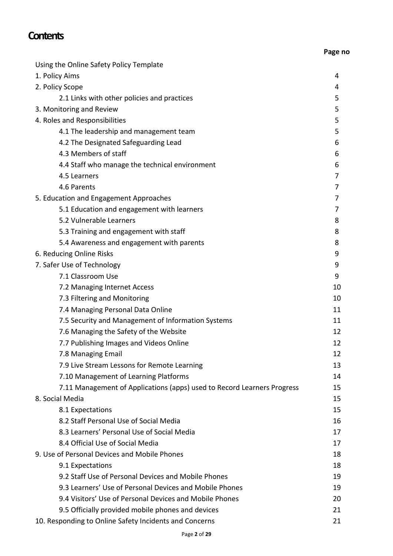# **Contents**

| Using the Online Safety Policy Template                                 |    |
|-------------------------------------------------------------------------|----|
| 1. Policy Aims                                                          | 4  |
| 2. Policy Scope                                                         | 4  |
| 2.1 Links with other policies and practices                             | 5  |
| 3. Monitoring and Review                                                | 5  |
| 4. Roles and Responsibilities                                           | 5  |
| 4.1 The leadership and management team                                  | 5  |
| 4.2 The Designated Safeguarding Lead                                    | 6  |
| 4.3 Members of staff                                                    | 6  |
| 4.4 Staff who manage the technical environment                          | 6  |
| 4.5 Learners                                                            | 7  |
| 4.6 Parents                                                             | 7  |
| 5. Education and Engagement Approaches                                  | 7  |
| 5.1 Education and engagement with learners                              | 7  |
| 5.2 Vulnerable Learners                                                 | 8  |
| 5.3 Training and engagement with staff                                  | 8  |
| 5.4 Awareness and engagement with parents                               | 8  |
| 6. Reducing Online Risks                                                | 9  |
| 7. Safer Use of Technology                                              | 9  |
| 7.1 Classroom Use                                                       | 9  |
| 7.2 Managing Internet Access                                            | 10 |
| 7.3 Filtering and Monitoring                                            | 10 |
| 7.4 Managing Personal Data Online                                       | 11 |
| 7.5 Security and Management of Information Systems                      | 11 |
| 7.6 Managing the Safety of the Website                                  | 12 |
| 7.7 Publishing Images and Videos Online                                 | 12 |
| 7.8 Managing Email                                                      | 12 |
| 7.9 Live Stream Lessons for Remote Learning                             | 13 |
| 7.10 Management of Learning Platforms                                   | 14 |
| 7.11 Management of Applications (apps) used to Record Learners Progress | 15 |
| 8. Social Media                                                         | 15 |
| 8.1 Expectations                                                        | 15 |
| 8.2 Staff Personal Use of Social Media                                  | 16 |
| 8.3 Learners' Personal Use of Social Media                              | 17 |
| 8.4 Official Use of Social Media                                        | 17 |
| 9. Use of Personal Devices and Mobile Phones                            | 18 |
| 9.1 Expectations                                                        | 18 |
| 9.2 Staff Use of Personal Devices and Mobile Phones                     | 19 |
| 9.3 Learners' Use of Personal Devices and Mobile Phones                 | 19 |
| 9.4 Visitors' Use of Personal Devices and Mobile Phones                 | 20 |
| 9.5 Officially provided mobile phones and devices                       | 21 |
| 10. Responding to Online Safety Incidents and Concerns                  | 21 |

**Page no**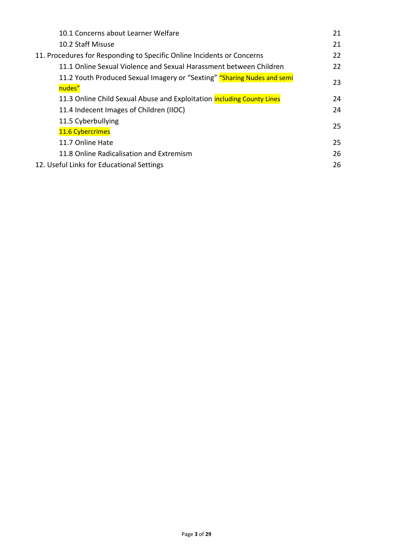| 10.1 Concerns about Learner Welfare                                               | 21 |
|-----------------------------------------------------------------------------------|----|
| 10.2 Staff Misuse                                                                 | 21 |
| 11. Procedures for Responding to Specific Online Incidents or Concerns            | 22 |
| 11.1 Online Sexual Violence and Sexual Harassment between Children                | 22 |
| 11.2 Youth Produced Sexual Imagery or "Sexting" "Sharing Nudes and semi<br>nudes" | 23 |
| 11.3 Online Child Sexual Abuse and Exploitation including County Lines            | 24 |
| 11.4 Indecent Images of Children (IIOC)                                           | 24 |
| 11.5 Cyberbullying                                                                | 25 |
| 11.6 Cybercrimes                                                                  |    |
| 11.7 Online Hate                                                                  | 25 |
| 11.8 Online Radicalisation and Extremism                                          | 26 |
| 12. Useful Links for Educational Settings                                         | 26 |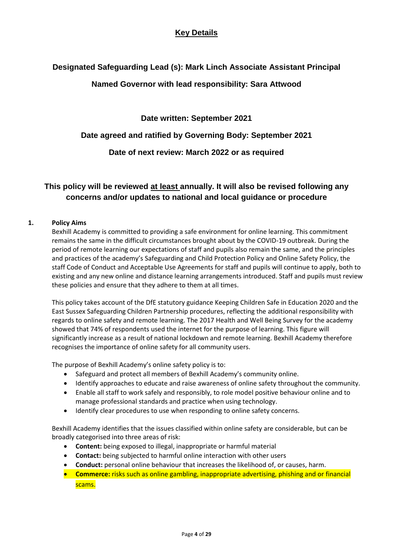# **Key Details**

# **Designated Safeguarding Lead (s): Mark Linch Associate Assistant Principal**

# **Named Governor with lead responsibility: Sara Attwood**

**Date written: September 2021**

# **Date agreed and ratified by Governing Body: September 2021**

**Date of next review: March 2022 or as required**

# **This policy will be reviewed at least annually. It will also be revised following any concerns and/or updates to national and local guidance or procedure**

# **1. Policy Aims**

Bexhill Academy is committed to providing a safe environment for online learning. This commitment remains the same in the difficult circumstances brought about by the COVID-19 outbreak. During the period of remote learning our expectations of staff and pupils also remain the same, and the principles and practices of the academy's Safeguarding and Child Protection Policy and Online Safety Policy, the staff Code of Conduct and Acceptable Use Agreements for staff and pupils will continue to apply, both to existing and any new online and distance learning arrangements introduced. Staff and pupils must review these policies and ensure that they adhere to them at all times.

This policy takes account of the DfE statutory guidance Keeping Children Safe in Education 2020 and the East Sussex Safeguarding Children Partnership procedures, reflecting the additional responsibility with regards to online safety and remote learning. The 2017 Health and Well Being Survey for the academy showed that 74% of respondents used the internet for the purpose of learning. This figure will significantly increase as a result of national lockdown and remote learning. Bexhill Academy therefore recognises the importance of online safety for all community users.

The purpose of Bexhill Academy's online safety policy is to:

- Safeguard and protect all members of Bexhill Academy's community online.
- Identify approaches to educate and raise awareness of online safety throughout the community.
- Enable all staff to work safely and responsibly, to role model positive behaviour online and to manage professional standards and practice when using technology.
- Identify clear procedures to use when responding to online safety concerns.

Bexhill Academy identifies that the issues classified within online safety are considerable, but can be broadly categorised into three areas of risk:

- **Content:** being exposed to illegal, inappropriate or harmful material
- **Contact:** being subjected to harmful online interaction with other users
- **Conduct:** personal online behaviour that increases the likelihood of, or causes, harm.
- **Commerce:** risks such as online gambling, inappropriate advertising, phishing and or financial scams.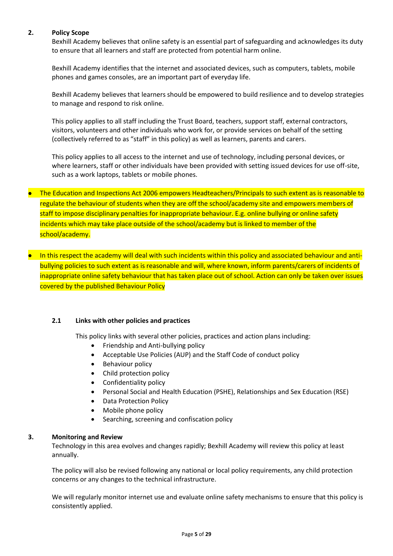### **2. Policy Scope**

Bexhill Academy believes that online safety is an essential part of safeguarding and acknowledges its duty to ensure that all learners and staff are protected from potential harm online.

Bexhill Academy identifies that the internet and associated devices, such as computers, tablets, mobile phones and games consoles, are an important part of everyday life.

Bexhill Academy believes that learners should be empowered to build resilience and to develop strategies to manage and respond to risk online.

This policy applies to all staff including the Trust Board, teachers, support staff, external contractors, visitors, volunteers and other individuals who work for, or provide services on behalf of the setting (collectively referred to as "staff" in this policy) as well as learners, parents and carers.

This policy applies to all access to the internet and use of technology, including personal devices, or where learners, staff or other individuals have been provided with setting issued devices for use off-site, such as a work laptops, tablets or mobile phones.

• The Education and Inspections Act 2006 empowers Headteachers/Principals to such extent as is reasonable to regulate the behaviour of students when they are off the school/academy site and empowers members of staff to impose disciplinary penalties for inappropriate behaviour. E.g. online bullying or online safety incidents which may take place outside of the school/academy but is linked to member of the school/academy.

 In this respect the academy will deal with such incidents within this policy and associated behaviour and antibullying policies to such extent as is reasonable and will, where known, inform parents/carers of incidents of inappropriate online safety behaviour that has taken place out of school. Action can only be taken over issues covered by the published Behaviour Policy

# **2.1 Links with other policies and practices**

This policy links with several other policies, practices and action plans including:

- Friendship and Anti-bullying policy
- Acceptable Use Policies (AUP) and the Staff Code of conduct policy
- Behaviour policy
- Child protection policy
- Confidentiality policy
- Personal Social and Health Education (PSHE), Relationships and Sex Education (RSE)
- Data Protection Policy
- Mobile phone policy
- Searching, screening and confiscation policy

### **3. Monitoring and Review**

Technology in this area evolves and changes rapidly; Bexhill Academy will review this policy at least annually.

The policy will also be revised following any national or local policy requirements, any child protection concerns or any changes to the technical infrastructure.

We will regularly monitor internet use and evaluate online safety mechanisms to ensure that this policy is consistently applied.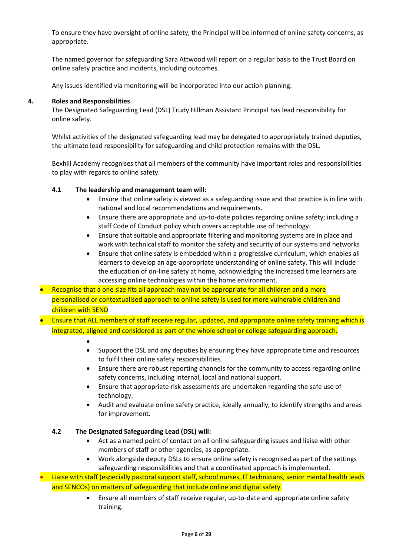To ensure they have oversight of online safety, the Principal will be informed of online safety concerns, as appropriate.

The named governor for safeguarding Sara Attwood will report on a regular basis to the Trust Board on online safety practice and incidents, including outcomes.

Any issues identified via monitoring will be incorporated into our action planning.

### **4. Roles and Responsibilities**

The Designated Safeguarding Lead (DSL) Trudy Hillman Assistant Principal has lead responsibility for online safety.

Whilst activities of the designated safeguarding lead may be delegated to appropriately trained deputies, the ultimate lead responsibility for safeguarding and child protection remains with the DSL.

Bexhill Academy recognises that all members of the community have important roles and responsibilities to play with regards to online safety.

### **4.1 The leadership and management team will:**

- Ensure that online safety is viewed as a safeguarding issue and that practice is in line with national and local recommendations and requirements.
- Ensure there are appropriate and up-to-date policies regarding online safety; including a staff Code of Conduct policy which covers acceptable use of technology.
- Ensure that suitable and appropriate filtering and monitoring systems are in place and work with technical staff to monitor the safety and security of our systems and networks
- Ensure that online safety is embedded within a progressive curriculum, which enables all learners to develop an age-appropriate understanding of online safety. This will include the education of on-line safety at home, acknowledging the increased time learners are accessing online technologies within the home environment.
- Recognise that a one size fits all approach may not be appropriate for all children and a more personalised or contextualised approach to online safety is used for more vulnerable children and children with SEND
- Ensure that ALL members of staff receive regular, updated, and appropriate online safety training which is integrated, aligned and considered as part of the whole school or college safeguarding approach.
	- $\bullet$
	- Support the DSL and any deputies by ensuring they have appropriate time and resources to fulfil their online safety responsibilities.
	- Ensure there are robust reporting channels for the community to access regarding online safety concerns, including internal, local and national support.
	- Ensure that appropriate risk assessments are undertaken regarding the safe use of technology.
	- Audit and evaluate online safety practice, ideally annually, to identify strengths and areas for improvement.

# **4.2 The Designated Safeguarding Lead (DSL) will:**

- Act as a named point of contact on all online safeguarding issues and liaise with other members of staff or other agencies, as appropriate.
- Work alongside deputy DSLs to ensure online safety is recognised as part of the settings safeguarding responsibilities and that a coordinated approach is implemented.

 Liaise with staff (especially pastoral support staff, school nurses, IT technicians, senior mental health leads and SENCOs) on matters of safeguarding that include online and digital safety.

> Ensure all members of staff receive regular, up-to-date and appropriate online safety training.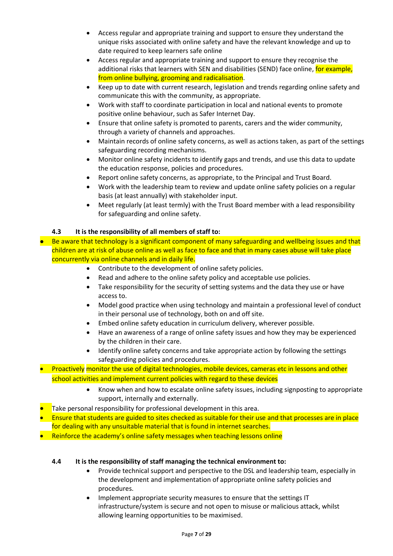- Access regular and appropriate training and support to ensure they understand the unique risks associated with online safety and have the relevant knowledge and up to date required to keep learners safe online
- Access regular and appropriate training and support to ensure they recognise the additional risks that learners with SEN and disabilities (SEND) face online, for example, from online bullying, grooming and radicalisation.
- Keep up to date with current research, legislation and trends regarding online safety and communicate this with the community, as appropriate.
- Work with staff to coordinate participation in local and national events to promote positive online behaviour, such as Safer Internet Day.
- Ensure that online safety is promoted to parents, carers and the wider community, through a variety of channels and approaches.
- Maintain records of online safety concerns, as well as actions taken, as part of the settings safeguarding recording mechanisms.
- Monitor online safety incidents to identify gaps and trends, and use this data to update the education response, policies and procedures.
- Report online safety concerns, as appropriate, to the Principal and Trust Board.
- Work with the leadership team to review and update online safety policies on a regular basis (at least annually) with stakeholder input.
- Meet regularly (at least termly) with the Trust Board member with a lead responsibility for safeguarding and online safety.

# **4.3 It is the responsibility of all members of staff to:**

- Be aware that technology is a significant component of many safeguarding and wellbeing issues and that children are at risk of abuse online as well as face to face and that in many cases abuse will take place concurrently via online channels and in daily life.
	- Contribute to the development of online safety policies.
	- Read and adhere to the online safety policy and acceptable use policies.
	- Take responsibility for the security of setting systems and the data they use or have access to.
	- Model good practice when using technology and maintain a professional level of conduct in their personal use of technology, both on and off site.
	- Embed online safety education in curriculum delivery, wherever possible.
	- Have an awareness of a range of online safety issues and how they may be experienced by the children in their care.
	- Identify online safety concerns and take appropriate action by following the settings safeguarding policies and procedures.
- Proactively monitor the use of digital technologies, mobile devices, cameras etc in lessons and other school activities and implement current policies with regard to these devices
	- Know when and how to escalate online safety issues, including signposting to appropriate support, internally and externally.
- $\bullet$  Take personal responsibility for professional development in this area.
- **Ensure that students are guided to sites checked as suitable for their use and that processes are in place** for dealing with any unsuitable material that is found in internet searches.
- Reinforce the academy's online safety messages when teaching lessons online

# **4.4 It is the responsibility of staff managing the technical environment to:**

- Provide technical support and perspective to the DSL and leadership team, especially in the development and implementation of appropriate online safety policies and procedures.
- Implement appropriate security measures to ensure that the settings IT infrastructure/system is secure and not open to misuse or malicious attack, whilst allowing learning opportunities to be maximised.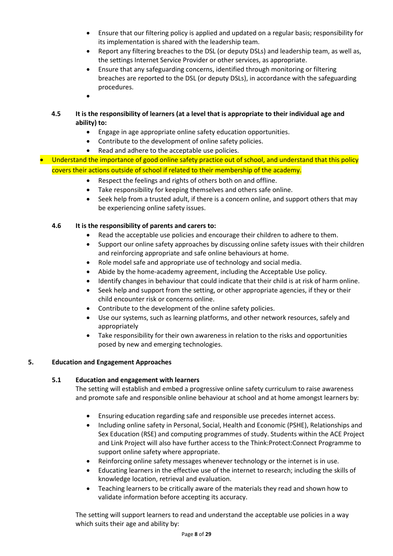- Ensure that our filtering policy is applied and updated on a regular basis; responsibility for its implementation is shared with the leadership team.
- Report any filtering breaches to the DSL (or deputy DSLs) and leadership team, as well as, the settings Internet Service Provider or other services, as appropriate.
- Ensure that any safeguarding concerns, identified through monitoring or filtering breaches are reported to the DSL (or deputy DSLs), in accordance with the safeguarding procedures.
- $\bullet$

# **4.5 It is the responsibility of learners (at a level that is appropriate to their individual age and ability) to:**

- Engage in age appropriate online safety education opportunities.
- Contribute to the development of online safety policies.
- Read and adhere to the acceptable use policies.

# Understand the importance of good online safety practice out of school, and understand that this policy covers their actions outside of school if related to their membership of the academy.

- Respect the feelings and rights of others both on and offline.
- Take responsibility for keeping themselves and others safe online.
- Seek help from a trusted adult, if there is a concern online, and support others that may be experiencing online safety issues.

# **4.6 It is the responsibility of parents and carers to:**

- Read the acceptable use policies and encourage their children to adhere to them.
- Support our online safety approaches by discussing online safety issues with their children and reinforcing appropriate and safe online behaviours at home.
- Role model safe and appropriate use of technology and social media.
- Abide by the home-academy agreement, including the Acceptable Use policy.
- Identify changes in behaviour that could indicate that their child is at risk of harm online.
- Seek help and support from the setting, or other appropriate agencies, if they or their child encounter risk or concerns online.
- Contribute to the development of the online safety policies.
- Use our systems, such as learning platforms, and other network resources, safely and appropriately
- Take responsibility for their own awareness in relation to the risks and opportunities posed by new and emerging technologies.

# **5. Education and Engagement Approaches**

# **5.1 Education and engagement with learners**

The setting will establish and embed a progressive online safety curriculum to raise awareness and promote safe and responsible online behaviour at school and at home amongst learners by:

- Ensuring education regarding safe and responsible use precedes internet access.
- Including online safety in Personal, Social, Health and Economic (PSHE), Relationships and Sex Education (RSE) and computing programmes of study. Students within the ACE Project and Link Project will also have further access to the Think:Protect:Connect Programme to support online safety where appropriate.
- Reinforcing online safety messages whenever technology or the internet is in use.
- Educating learners in the effective use of the internet to research; including the skills of knowledge location, retrieval and evaluation.
- Teaching learners to be critically aware of the materials they read and shown how to validate information before accepting its accuracy.

The setting will support learners to read and understand the acceptable use policies in a way which suits their age and ability by: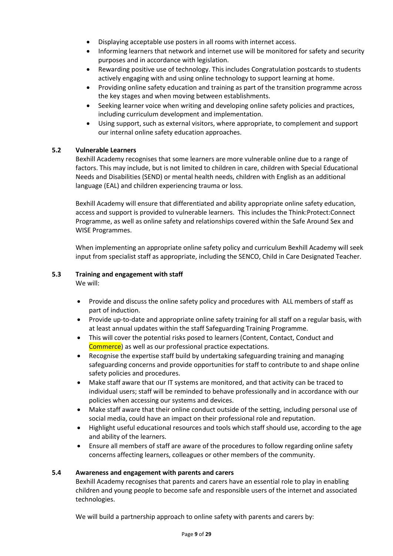- Displaying acceptable use posters in all rooms with internet access.
- Informing learners that network and internet use will be monitored for safety and security purposes and in accordance with legislation.
- Rewarding positive use of technology. This includes Congratulation postcards to students actively engaging with and using online technology to support learning at home.
- Providing online safety education and training as part of the transition programme across the key stages and when moving between establishments.
- Seeking learner voice when writing and developing online safety policies and practices, including curriculum development and implementation.
- Using support, such as external visitors, where appropriate, to complement and support our internal online safety education approaches.

### **5.2 Vulnerable Learners**

Bexhill Academy recognises that some learners are more vulnerable online due to a range of factors. This may include, but is not limited to children in care, children with Special Educational Needs and Disabilities (SEND) or mental health needs, children with English as an additional language (EAL) and children experiencing trauma or loss.

Bexhill Academy will ensure that differentiated and ability appropriate online safety education, access and support is provided to vulnerable learners. This includes the Think:Protect:Connect Programme, as well as online safety and relationships covered within the Safe Around Sex and WISE Programmes.

When implementing an appropriate online safety policy and curriculum Bexhill Academy will seek input from specialist staff as appropriate, including the SENCO, Child in Care Designated Teacher.

# **5.3 Training and engagement with staff**

We will:

- Provide and discuss the online safety policy and procedures with ALL members of staff as part of induction.
- Provide up-to-date and appropriate online safety training for all staff on a regular basis, with at least annual updates within the staff Safeguarding Training Programme.
- This will cover the potential risks posed to learners (Content, Contact, Conduct and Commerce) as well as our professional practice expectations.
- Recognise the expertise staff build by undertaking safeguarding training and managing safeguarding concerns and provide opportunities for staff to contribute to and shape online safety policies and procedures.
- Make staff aware that our IT systems are monitored, and that activity can be traced to individual users; staff will be reminded to behave professionally and in accordance with our policies when accessing our systems and devices.
- Make staff aware that their online conduct outside of the setting, including personal use of social media, could have an impact on their professional role and reputation.
- Highlight useful educational resources and tools which staff should use, according to the age and ability of the learners.
- Ensure all members of staff are aware of the procedures to follow regarding online safety concerns affecting learners, colleagues or other members of the community.

### **5.4 Awareness and engagement with parents and carers**

Bexhill Academy recognises that parents and carers have an essential role to play in enabling children and young people to become safe and responsible users of the internet and associated technologies.

We will build a partnership approach to online safety with parents and carers by: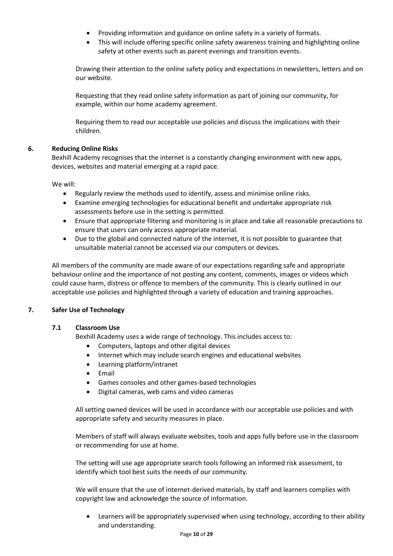- Providing information and guidance on online safety in a variety of formats.
- This will include offering specific online safety awareness training and highlighting online safety at other events such as parent evenings and transition events.

Drawing their attention to the online safety policy and expectations in newsletters, letters and on our website.

Requesting that they read online safety information as part of joining our community, for example, within our home academy agreement.

Requiring them to read our acceptable use policies and discuss the implications with their children.

# **6. Reducing Online Risks**

Bexhill Academy recognises that the internet is a constantly changing environment with new apps, devices, websites and material emerging at a rapid pace.

We will:

- Regularly review the methods used to identify, assess and minimise online risks.
- Examine emerging technologies for educational benefit and undertake appropriate risk assessments before use in the setting is permitted.
- Ensure that appropriate filtering and monitoring is in place and take all reasonable precautions to ensure that users can only access appropriate material.
- Due to the global and connected nature of the internet, it is not possible to guarantee that unsuitable material cannot be accessed via our computers or devices.

All members of the community are made aware of our expectations regarding safe and appropriate behaviour online and the importance of not posting any content, comments, images or videos which could cause harm, distress or offence to members of the community. This is clearly outlined in our acceptable use policies and highlighted through a variety of education and training approaches.

# **7. Safer Use of Technology**

# **7.1 Classroom Use**

Bexhill Academy uses a wide range of technology. This includes access to:

- Computers, laptops and other digital devices
- Internet which may include search engines and educational websites
- Learning platform/intranet
- $\bullet$  Fmail
- Games consoles and other games-based technologies
- Digital cameras, web cams and video cameras

All setting owned devices will be used in accordance with our acceptable use policies and with appropriate safety and security measures in place.

Members of staff will always evaluate websites, tools and apps fully before use in the classroom or recommending for use at home.

The setting will use age appropriate search tools following an informed risk assessment, to identify which tool best suits the needs of our community.

We will ensure that the use of internet-derived materials, by staff and learners complies with copyright law and acknowledge the source of information.

 Learners will be appropriately supervised when using technology, according to their ability and understanding.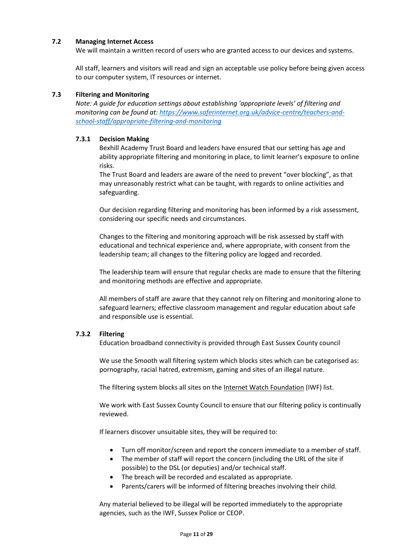### **7.2 Managing Internet Access**

We will maintain a written record of users who are granted access to our devices and systems.

All staff, learners and visitors will read and sign an acceptable use policy before being given access to our computer system, IT resources or internet.

### **7.3 Filtering and Monitoring**

*Note: A guide for education settings about establishing 'appropriate levels' of filtering and monitoring can be found at: [https://www.saferinternet.org.uk/advice-centre/teachers-and](https://www.saferinternet.org.uk/advice-centre/teachers-and-school-staff/appropriate-filtering-and-monitoring)[school-staff/appropriate-filtering-and-monitoring](https://www.saferinternet.org.uk/advice-centre/teachers-and-school-staff/appropriate-filtering-and-monitoring)*

### **7.3.1 Decision Making**

Bexhill Academy Trust Board and leaders have ensured that our setting has age and ability appropriate filtering and monitoring in place, to limit learner's exposure to online risks.

The Trust Board and leaders are aware of the need to prevent "over blocking", as that may unreasonably restrict what can be taught, with regards to online activities and safeguarding.

Our decision regarding filtering and monitoring has been informed by a risk assessment, considering our specific needs and circumstances.

Changes to the filtering and monitoring approach will be risk assessed by staff with educational and technical experience and, where appropriate, with consent from the leadership team; all changes to the filtering policy are logged and recorded.

The leadership team will ensure that regular checks are made to ensure that the filtering and monitoring methods are effective and appropriate.

All members of staff are aware that they cannot rely on filtering and monitoring alone to safeguard learners; effective classroom management and regular education about safe and responsible use is essential.

# **7.3.2 Filtering**

Education broadband connectivity is provided through East Sussex County council

We use the Smooth wall filtering system which blocks sites which can be categorised as: pornography, racial hatred, extremism, gaming and sites of an illegal nature.

The filtering system blocks all sites on th[e Internet Watch Foundation](https://www.iwf.org.uk/) (IWF) list.

We work with East Sussex County Council to ensure that our filtering policy is continually reviewed.

If learners discover unsuitable sites, they will be required to:

- Turn off monitor/screen and report the concern immediate to a member of staff.
- The member of staff will report the concern (including the URL of the site if possible) to the DSL (or deputies) and/or technical staff.
- The breach will be recorded and escalated as appropriate.
- Parents/carers will be informed of filtering breaches involving their child.

Any material believed to be illegal will be reported immediately to the appropriate agencies, such as the IWF, Sussex Police or CEOP.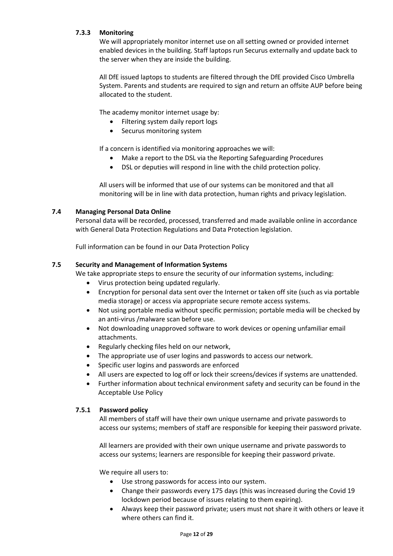# **7.3.3 Monitoring**

We will appropriately monitor internet use on all setting owned or provided internet enabled devices in the building. Staff laptops run Securus externally and update back to the server when they are inside the building.

All DfE issued laptops to students are filtered through the DfE provided Cisco Umbrella System. Parents and students are required to sign and return an offsite AUP before being allocated to the student.

The academy monitor internet usage by:

- Filtering system daily report logs
- Securus monitoring system

If a concern is identified via monitoring approaches we will:

- Make a report to the DSL via the Reporting Safeguarding Procedures
- DSL or deputies will respond in line with the child protection policy.

All users will be informed that use of our systems can be monitored and that all monitoring will be in line with data protection, human rights and privacy legislation.

### **7.4 Managing Personal Data Online**

Personal data will be recorded, processed, transferred and made available online in accordance with General Data Protection Regulations and Data Protection legislation.

Full information can be found in our Data Protection Policy

### **7.5 Security and Management of Information Systems**

We take appropriate steps to ensure the security of our information systems, including:

- Virus protection being updated regularly.
- Encryption for personal data sent over the Internet or taken off site (such as via portable media storage) or access via appropriate secure remote access systems.
- Not using portable media without specific permission; portable media will be checked by an anti-virus /malware scan before use.
- Not downloading unapproved software to work devices or opening unfamiliar email attachments.
- Regularly checking files held on our network,
- The appropriate use of user logins and passwords to access our network.
- Specific user logins and passwords are enforced
- All users are expected to log off or lock their screens/devices if systems are unattended.
- Further information about technical environment safety and security can be found in the Acceptable Use Policy

### **7.5.1 Password policy**

All members of staff will have their own unique username and private passwords to access our systems; members of staff are responsible for keeping their password private.

All learners are provided with their own unique username and private passwords to access our systems; learners are responsible for keeping their password private.

We require all users to:

- Use strong passwords for access into our system.
- Change their passwords every 175 days (this was increased during the Covid 19 lockdown period because of issues relating to them expiring).
- Always keep their password private; users must not share it with others or leave it where others can find it.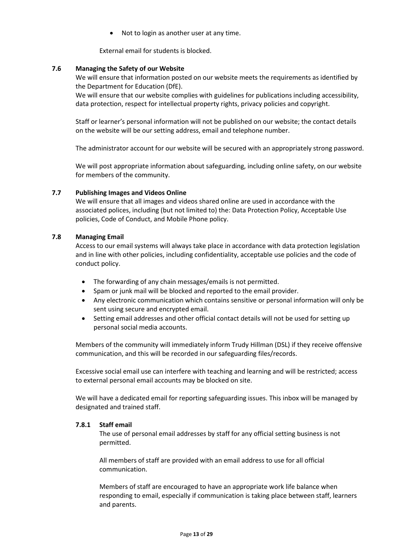Not to login as another user at any time.

External email for students is blocked.

### **7.6 Managing the Safety of our Website**

We will ensure that information posted on our website meets the requirements as identified by the Department for Education (DfE).

We will ensure that our website complies with guidelines for publications including accessibility, data protection, respect for intellectual property rights, privacy policies and copyright.

Staff or learner's personal information will not be published on our website; the contact details on the website will be our setting address, email and telephone number.

The administrator account for our website will be secured with an appropriately strong password.

We will post appropriate information about safeguarding, including online safety, on our website for members of the community.

### **7.7 Publishing Images and Videos Online**

We will ensure that all images and videos shared online are used in accordance with the associated polices, including (but not limited to) the: Data Protection Policy, Acceptable Use policies, Code of Conduct, and Mobile Phone policy.

### **7.8 Managing Email**

Access to our email systems will always take place in accordance with data protection legislation and in line with other policies, including confidentiality, acceptable use policies and the code of conduct policy.

- The forwarding of any chain messages/emails is not permitted.
- Spam or junk mail will be blocked and reported to the email provider.
- Any electronic communication which contains sensitive or personal information will only be sent using secure and encrypted email.
- Setting email addresses and other official contact details will not be used for setting up personal social media accounts.

Members of the community will immediately inform Trudy Hillman (DSL) if they receive offensive communication, and this will be recorded in our safeguarding files/records.

Excessive social email use can interfere with teaching and learning and will be restricted; access to external personal email accounts may be blocked on site.

We will have a dedicated email for reporting safeguarding issues. This inbox will be managed by designated and trained staff.

### **7.8.1 Staff email**

The use of personal email addresses by staff for any official setting business is not permitted.

All members of staff are provided with an email address to use for all official communication.

Members of staff are encouraged to have an appropriate work life balance when responding to email, especially if communication is taking place between staff, learners and parents.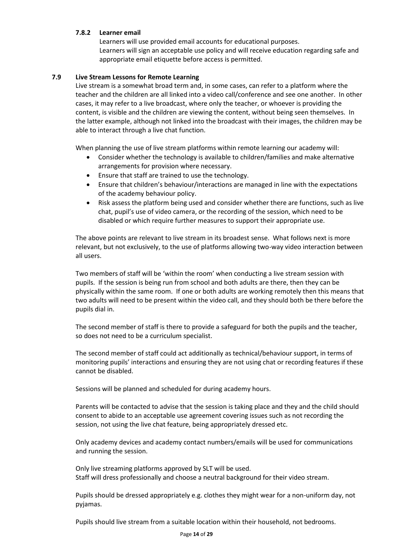# **7.8.2 Learner email**

Learners will use provided email accounts for educational purposes. Learners will sign an acceptable use policy and will receive education regarding safe and appropriate email etiquette before access is permitted.

### **7.9 Live Stream Lessons for Remote Learning**

Live stream is a somewhat broad term and, in some cases, can refer to a platform where the teacher and the children are all linked into a video call/conference and see one another. In other cases, it may refer to a live broadcast, where only the teacher, or whoever is providing the content, is visible and the children are viewing the content, without being seen themselves. In the latter example, although not linked into the broadcast with their images, the children may be able to interact through a live chat function.

When planning the use of live stream platforms within remote learning our academy will:

- Consider whether the technology is available to children/families and make alternative arrangements for provision where necessary.
- Ensure that staff are trained to use the technology.
- Ensure that children's behaviour/interactions are managed in line with the expectations of the academy behaviour policy.
- Risk assess the platform being used and consider whether there are functions, such as live chat, pupil's use of video camera, or the recording of the session, which need to be disabled or which require further measures to support their appropriate use.

The above points are relevant to live stream in its broadest sense. What follows next is more relevant, but not exclusively, to the use of platforms allowing two-way video interaction between all users.

Two members of staff will be 'within the room' when conducting a live stream session with pupils. If the session is being run from school and both adults are there, then they can be physically within the same room. If one or both adults are working remotely then this means that two adults will need to be present within the video call, and they should both be there before the pupils dial in.

The second member of staff is there to provide a safeguard for both the pupils and the teacher, so does not need to be a curriculum specialist.

The second member of staff could act additionally as technical/behaviour support, in terms of monitoring pupils' interactions and ensuring they are not using chat or recording features if these cannot be disabled.

Sessions will be planned and scheduled for during academy hours.

Parents will be contacted to advise that the session is taking place and they and the child should consent to abide to an acceptable use agreement covering issues such as not recording the session, not using the live chat feature, being appropriately dressed etc.

Only academy devices and academy contact numbers/emails will be used for communications and running the session.

Only live streaming platforms approved by SLT will be used. Staff will dress professionally and choose a neutral background for their video stream.

Pupils should be dressed appropriately e.g. clothes they might wear for a non-uniform day, not pyjamas.

Pupils should live stream from a suitable location within their household, not bedrooms.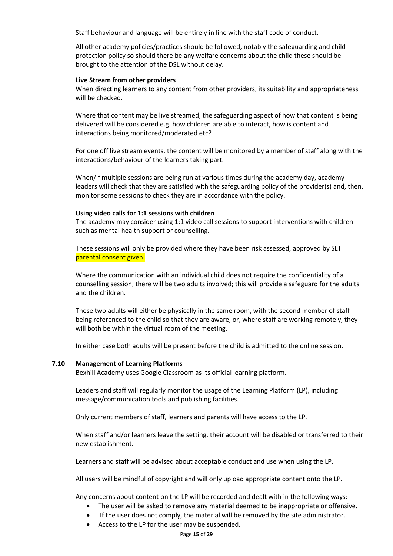Staff behaviour and language will be entirely in line with the staff code of conduct.

All other academy policies/practices should be followed, notably the safeguarding and child protection policy so should there be any welfare concerns about the child these should be brought to the attention of the DSL without delay.

### **Live Stream from other providers**

When directing learners to any content from other providers, its suitability and appropriateness will be checked.

Where that content may be live streamed, the safeguarding aspect of how that content is being delivered will be considered e.g. how children are able to interact, how is content and interactions being monitored/moderated etc?

For one off live stream events, the content will be monitored by a member of staff along with the interactions/behaviour of the learners taking part.

When/if multiple sessions are being run at various times during the academy day, academy leaders will check that they are satisfied with the safeguarding policy of the provider(s) and, then, monitor some sessions to check they are in accordance with the policy.

### **Using video calls for 1:1 sessions with children**

The academy may consider using 1:1 video call sessions to support interventions with children such as mental health support or counselling.

These sessions will only be provided where they have been risk assessed, approved by SLT parental consent given.

Where the communication with an individual child does not require the confidentiality of a counselling session, there will be two adults involved; this will provide a safeguard for the adults and the children.

These two adults will either be physically in the same room, with the second member of staff being referenced to the child so that they are aware, or, where staff are working remotely, they will both be within the virtual room of the meeting.

In either case both adults will be present before the child is admitted to the online session.

### **7.10 Management of Learning Platforms**

Bexhill Academy uses Google Classroom as its official learning platform.

Leaders and staff will regularly monitor the usage of the Learning Platform (LP), including message/communication tools and publishing facilities.

Only current members of staff, learners and parents will have access to the LP.

When staff and/or learners leave the setting, their account will be disabled or transferred to their new establishment.

Learners and staff will be advised about acceptable conduct and use when using the LP.

All users will be mindful of copyright and will only upload appropriate content onto the LP.

Any concerns about content on the LP will be recorded and dealt with in the following ways:

- The user will be asked to remove any material deemed to be inappropriate or offensive.
- If the user does not comply, the material will be removed by the site administrator.
- Access to the LP for the user may be suspended.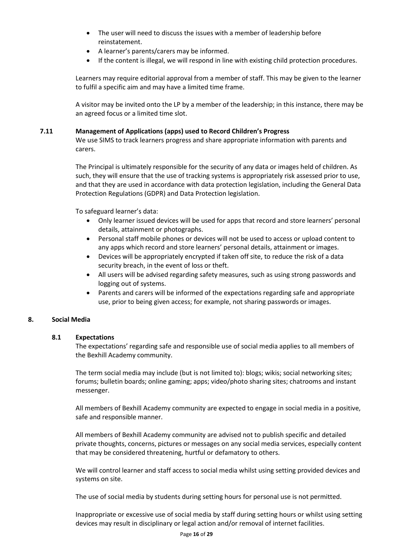- The user will need to discuss the issues with a member of leadership before reinstatement.
- A learner's parents/carers may be informed.
- If the content is illegal, we will respond in line with existing child protection procedures.

Learners may require editorial approval from a member of staff. This may be given to the learner to fulfil a specific aim and may have a limited time frame.

A visitor may be invited onto the LP by a member of the leadership; in this instance, there may be an agreed focus or a limited time slot.

### **7.11 Management of Applications (apps) used to Record Children's Progress**

We use SIMS to track learners progress and share appropriate information with parents and carers.

The Principal is ultimately responsible for the security of any data or images held of children. As such, they will ensure that the use of tracking systems is appropriately risk assessed prior to use, and that they are used in accordance with data protection legislation, including the General Data Protection Regulations (GDPR) and Data Protection legislation.

To safeguard learner's data:

- Only learner issued devices will be used for apps that record and store learners' personal details, attainment or photographs.
- Personal staff mobile phones or devices will not be used to access or upload content to any apps which record and store learners' personal details, attainment or images.
- Devices will be appropriately encrypted if taken off site, to reduce the risk of a data security breach, in the event of loss or theft.
- All users will be advised regarding safety measures, such as using strong passwords and logging out of systems.
- Parents and carers will be informed of the expectations regarding safe and appropriate use, prior to being given access; for example, not sharing passwords or images.

### **8. Social Media**

### **8.1 Expectations**

The expectations' regarding safe and responsible use of social media applies to all members of the Bexhill Academy community.

The term social media may include (but is not limited to): blogs; wikis; social networking sites; forums; bulletin boards; online gaming; apps; video/photo sharing sites; chatrooms and instant messenger.

All members of Bexhill Academy community are expected to engage in social media in a positive, safe and responsible manner.

All members of Bexhill Academy community are advised not to publish specific and detailed private thoughts, concerns, pictures or messages on any social media services, especially content that may be considered threatening, hurtful or defamatory to others.

We will control learner and staff access to social media whilst using setting provided devices and systems on site.

The use of social media by students during setting hours for personal use is not permitted.

Inappropriate or excessive use of social media by staff during setting hours or whilst using setting devices may result in disciplinary or legal action and/or removal of internet facilities.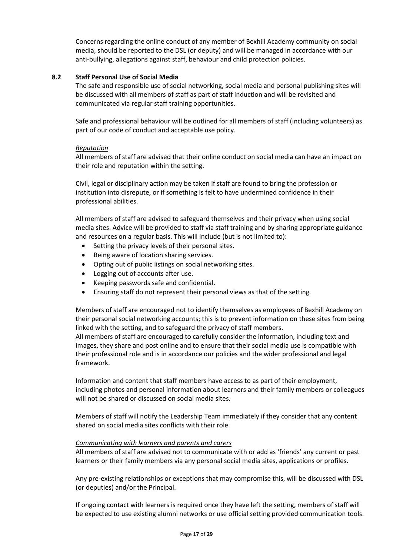Concerns regarding the online conduct of any member of Bexhill Academy community on social media, should be reported to the DSL (or deputy) and will be managed in accordance with our anti-bullying, allegations against staff, behaviour and child protection policies.

### **8.2 Staff Personal Use of Social Media**

The safe and responsible use of social networking, social media and personal publishing sites will be discussed with all members of staff as part of staff induction and will be revisited and communicated via regular staff training opportunities.

Safe and professional behaviour will be outlined for all members of staff (including volunteers) as part of our code of conduct and acceptable use policy.

### *Reputation*

All members of staff are advised that their online conduct on social media can have an impact on their role and reputation within the setting.

Civil, legal or disciplinary action may be taken if staff are found to bring the profession or institution into disrepute, or if something is felt to have undermined confidence in their professional abilities.

All members of staff are advised to safeguard themselves and their privacy when using social media sites. Advice will be provided to staff via staff training and by sharing appropriate guidance and resources on a regular basis. This will include (but is not limited to):

- Setting the privacy levels of their personal sites.
- Being aware of location sharing services.
- Opting out of public listings on social networking sites.
- Logging out of accounts after use.
- Keeping passwords safe and confidential.
- Ensuring staff do not represent their personal views as that of the setting.

Members of staff are encouraged not to identify themselves as employees of Bexhill Academy on their personal social networking accounts; this is to prevent information on these sites from being linked with the setting, and to safeguard the privacy of staff members.

All members of staff are encouraged to carefully consider the information, including text and images, they share and post online and to ensure that their social media use is compatible with their professional role and is in accordance our policies and the wider professional and legal framework.

Information and content that staff members have access to as part of their employment, including photos and personal information about learners and their family members or colleagues will not be shared or discussed on social media sites.

Members of staff will notify the Leadership Team immediately if they consider that any content shared on social media sites conflicts with their role.

### *Communicating with learners and parents and carers*

All members of staff are advised not to communicate with or add as 'friends' any current or past learners or their family members via any personal social media sites, applications or profiles.

Any pre-existing relationships or exceptions that may compromise this, will be discussed with DSL (or deputies) and/or the Principal.

If ongoing contact with learners is required once they have left the setting, members of staff will be expected to use existing alumni networks or use official setting provided communication tools.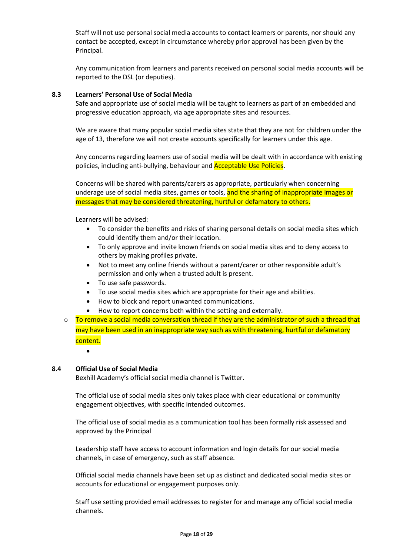Staff will not use personal social media accounts to contact learners or parents, nor should any contact be accepted, except in circumstance whereby prior approval has been given by the Principal.

Any communication from learners and parents received on personal social media accounts will be reported to the DSL (or deputies).

### **8.3 Learners' Personal Use of Social Media**

Safe and appropriate use of social media will be taught to learners as part of an embedded and progressive education approach, via age appropriate sites and resources.

We are aware that many popular social media sites state that they are not for children under the age of 13, therefore we will not create accounts specifically for learners under this age.

Any concerns regarding learners use of social media will be dealt with in accordance with existing policies, including anti-bullying, behaviour and Acceptable Use Policies.

Concerns will be shared with parents/carers as appropriate, particularly when concerning underage use of social media sites, games or tools, and the sharing of inappropriate images or messages that may be considered threatening, hurtful or defamatory to others.

Learners will be advised:

- To consider the benefits and risks of sharing personal details on social media sites which could identify them and/or their location.
- To only approve and invite known friends on social media sites and to deny access to others by making profiles private.
- Not to meet any online friends without a parent/carer or other responsible adult's permission and only when a trusted adult is present.
- To use safe passwords.
- To use social media sites which are appropriate for their age and abilities.
- How to block and report unwanted communications.
- How to report concerns both within the setting and externally.
- $\circ$  To remove a social media conversation thread if they are the administrator of such a thread that may have been used in an inappropriate way such as with threatening, hurtful or defamatory content.
	- $\bullet$

### **8.4 Official Use of Social Media**

Bexhill Academy's official social media channel is Twitter.

The official use of social media sites only takes place with clear educational or community engagement objectives, with specific intended outcomes.

The official use of social media as a communication tool has been formally risk assessed and approved by the Principal

Leadership staff have access to account information and login details for our social media channels, in case of emergency, such as staff absence.

Official social media channels have been set up as distinct and dedicated social media sites or accounts for educational or engagement purposes only.

Staff use setting provided email addresses to register for and manage any official social media channels.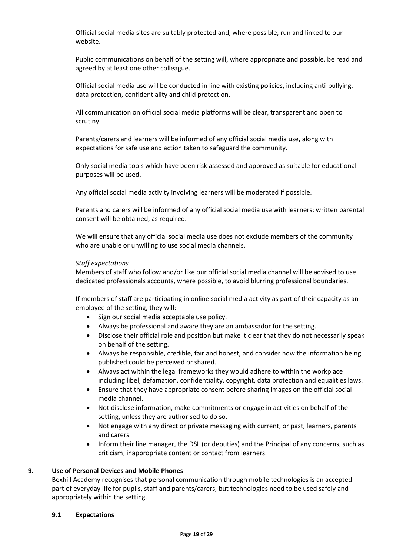Official social media sites are suitably protected and, where possible, run and linked to our website.

Public communications on behalf of the setting will, where appropriate and possible, be read and agreed by at least one other colleague.

Official social media use will be conducted in line with existing policies, including anti-bullying, data protection, confidentiality and child protection.

All communication on official social media platforms will be clear, transparent and open to scrutiny.

Parents/carers and learners will be informed of any official social media use, along with expectations for safe use and action taken to safeguard the community.

Only social media tools which have been risk assessed and approved as suitable for educational purposes will be used.

Any official social media activity involving learners will be moderated if possible.

Parents and carers will be informed of any official social media use with learners; written parental consent will be obtained, as required.

We will ensure that any official social media use does not exclude members of the community who are unable or unwilling to use social media channels.

### *Staff expectations*

Members of staff who follow and/or like our official social media channel will be advised to use dedicated professionals accounts, where possible, to avoid blurring professional boundaries.

If members of staff are participating in online social media activity as part of their capacity as an employee of the setting, they will:

- Sign our social media acceptable use policy.
- Always be professional and aware they are an ambassador for the setting.
- Disclose their official role and position but make it clear that they do not necessarily speak on behalf of the setting.
- Always be responsible, credible, fair and honest, and consider how the information being published could be perceived or shared.
- Always act within the legal frameworks they would adhere to within the workplace including libel, defamation, confidentiality, copyright, data protection and equalities laws.
- Ensure that they have appropriate consent before sharing images on the official social media channel.
- Not disclose information, make commitments or engage in activities on behalf of the setting, unless they are authorised to do so.
- Not engage with any direct or private messaging with current, or past, learners, parents and carers.
- Inform their line manager, the DSL (or deputies) and the Principal of any concerns, such as criticism, inappropriate content or contact from learners.

### **9. Use of Personal Devices and Mobile Phones**

Bexhill Academy recognises that personal communication through mobile technologies is an accepted part of everyday life for pupils, staff and parents/carers, but technologies need to be used safely and appropriately within the setting.

### **9.1 Expectations**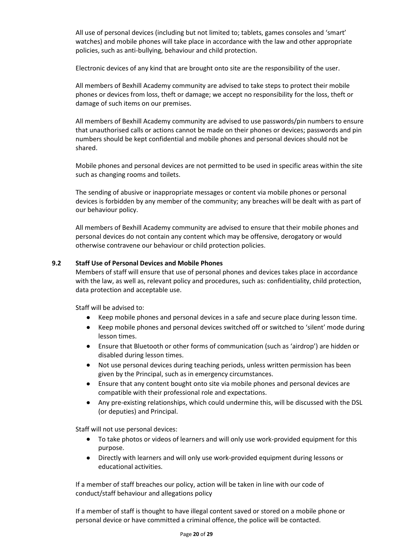All use of personal devices (including but not limited to; tablets, games consoles and 'smart' watches) and mobile phones will take place in accordance with the law and other appropriate policies, such as anti-bullying, behaviour and child protection.

Electronic devices of any kind that are brought onto site are the responsibility of the user.

All members of Bexhill Academy community are advised to take steps to protect their mobile phones or devices from loss, theft or damage; we accept no responsibility for the loss, theft or damage of such items on our premises.

All members of Bexhill Academy community are advised to use passwords/pin numbers to ensure that unauthorised calls or actions cannot be made on their phones or devices; passwords and pin numbers should be kept confidential and mobile phones and personal devices should not be shared.

Mobile phones and personal devices are not permitted to be used in specific areas within the site such as changing rooms and toilets.

The sending of abusive or inappropriate messages or content via mobile phones or personal devices is forbidden by any member of the community; any breaches will be dealt with as part of our behaviour policy.

All members of Bexhill Academy community are advised to ensure that their mobile phones and personal devices do not contain any content which may be offensive, derogatory or would otherwise contravene our behaviour or child protection policies.

### **9.2 Staff Use of Personal Devices and Mobile Phones**

Members of staff will ensure that use of personal phones and devices takes place in accordance with the law, as well as, relevant policy and procedures, such as: confidentiality, child protection, data protection and acceptable use.

Staff will be advised to:

- Keep mobile phones and personal devices in a safe and secure place during lesson time.
- Keep mobile phones and personal devices switched off or switched to 'silent' mode during lesson times.
- Ensure that Bluetooth or other forms of communication (such as 'airdrop') are hidden or disabled during lesson times.
- Not use personal devices during teaching periods, unless written permission has been given by the Principal, such as in emergency circumstances.
- Ensure that any content bought onto site via mobile phones and personal devices are compatible with their professional role and expectations.
- Any pre-existing relationships, which could undermine this, will be discussed with the DSL (or deputies) and Principal.

Staff will not use personal devices:

- To take photos or videos of learners and will only use work-provided equipment for this purpose.
- Directly with learners and will only use work-provided equipment during lessons or educational activities.

If a member of staff breaches our policy, action will be taken in line with our code of conduct/staff behaviour and allegations policy

If a member of staff is thought to have illegal content saved or stored on a mobile phone or personal device or have committed a criminal offence, the police will be contacted.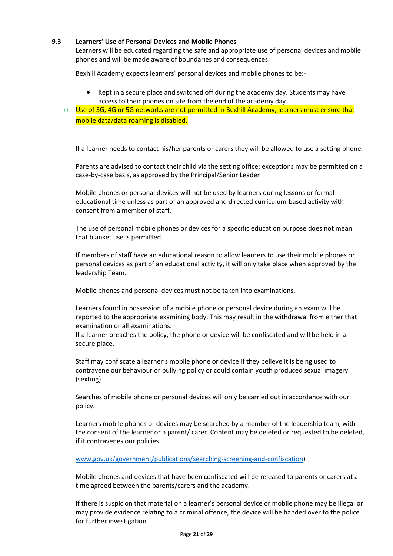### **9.3 Learners' Use of Personal Devices and Mobile Phones**

Learners will be educated regarding the safe and appropriate use of personal devices and mobile phones and will be made aware of boundaries and consequences.

Bexhill Academy expects learners' personal devices and mobile phones to be:-

 Kept in a secure place and switched off during the academy day. Students may have access to their phones on site from the end of the academy day.

o Use of 3G, 4G or 5G networks are not permitted in Bexhill Academy, learners must ensure that mobile data/data roaming is disabled.

If a learner needs to contact his/her parents or carers they will be allowed to use a setting phone.

Parents are advised to contact their child via the setting office; exceptions may be permitted on a case-by-case basis, as approved by the Principal/Senior Leader

Mobile phones or personal devices will not be used by learners during lessons or formal educational time unless as part of an approved and directed curriculum-based activity with consent from a member of staff.

The use of personal mobile phones or devices for a specific education purpose does not mean that blanket use is permitted.

If members of staff have an educational reason to allow learners to use their mobile phones or personal devices as part of an educational activity, it will only take place when approved by the leadership Team.

Mobile phones and personal devices must not be taken into examinations.

Learners found in possession of a mobile phone or personal device during an exam will be reported to the appropriate examining body. This may result in the withdrawal from either that examination or all examinations.

If a learner breaches the policy, the phone or device will be confiscated and will be held in a secure place.

Staff may confiscate a learner's mobile phone or device if they believe it is being used to contravene our behaviour or bullying policy or could contain youth produced sexual imagery (sexting).

Searches of mobile phone or personal devices will only be carried out in accordance with our policy.

Learners mobile phones or devices may be searched by a member of the leadership team, with the consent of the learner or a parent/ carer. Content may be deleted or requested to be deleted, if it contravenes our policies.

[www.gov.uk/government/publications/searching-screening-and-confiscation\)](http://www.gov.uk/government/publications/searching-screening-and-confiscation)

Mobile phones and devices that have been confiscated will be released to parents or carers at a time agreed between the parents/carers and the academy.

If there is suspicion that material on a learner's personal device or mobile phone may be illegal or may provide evidence relating to a criminal offence, the device will be handed over to the police for further investigation.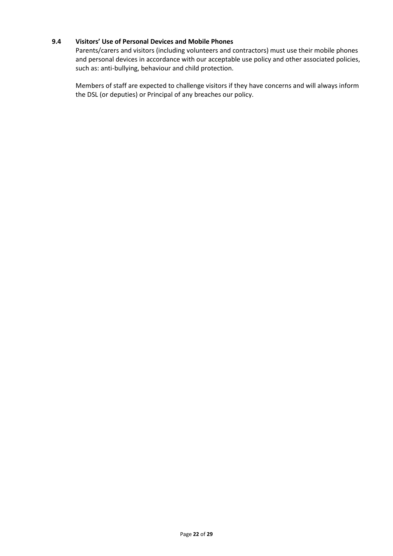### **9.4 Visitors' Use of Personal Devices and Mobile Phones**

Parents/carers and visitors (including volunteers and contractors) must use their mobile phones and personal devices in accordance with our acceptable use policy and other associated policies, such as: anti-bullying, behaviour and child protection.

Members of staff are expected to challenge visitors if they have concerns and will always inform the DSL (or deputies) or Principal of any breaches our policy.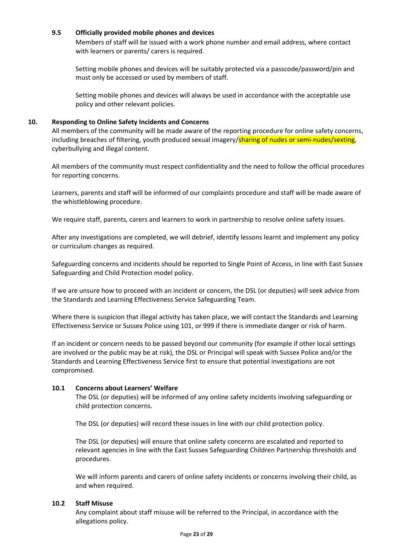### **9.5 Officially provided mobile phones and devices**

Members of staff will be issued with a work phone number and email address, where contact with learners or parents/ carers is required.

Setting mobile phones and devices will be suitably protected via a passcode/password/pin and must only be accessed or used by members of staff.

Setting mobile phones and devices will always be used in accordance with the acceptable use policy and other relevant policies.

### **10. Responding to Online Safety Incidents and Concerns**

All members of the community will be made aware of the reporting procedure for online safety concerns, including breaches of filtering, youth produced sexual imagery/sharing of nudes or semi-nudes/sexting, cyberbullying and illegal content.

All members of the community must respect confidentiality and the need to follow the official procedures for reporting concerns.

Learners, parents and staff will be informed of our complaints procedure and staff will be made aware of the whistleblowing procedure.

We require staff, parents, carers and learners to work in partnership to resolve online safety issues.

After any investigations are completed, we will debrief, identify lessons learnt and implement any policy or curriculum changes as required.

Safeguarding concerns and incidents should be reported to Single Point of Access, in line with East Sussex Safeguarding and Child Protection model policy.

If we are unsure how to proceed with an incident or concern, the DSL (or deputies) will seek advice from the Standards and Learning Effectiveness Service Safeguarding Team.

Where there is suspicion that illegal activity has taken place, we will contact the Standards and Learning Effectiveness Service or Sussex Police using 101, or 999 if there is immediate danger or risk of harm.

If an incident or concern needs to be passed beyond our community (for example if other local settings are involved or the public may be at risk), the DSL or Principal will speak with Sussex Police and/or the Standards and Learning Effectiveness Service first to ensure that potential investigations are not compromised.

### **10.1 Concerns about Learners' Welfare**

The DSL (or deputies) will be informed of any online safety incidents involving safeguarding or child protection concerns.

The DSL (or deputies) will record these issues in line with our child protection policy.

The DSL (or deputies) will ensure that online safety concerns are escalated and reported to relevant agencies in line with the East Sussex Safeguarding Children Partnership thresholds and procedures.

We will inform parents and carers of online safety incidents or concerns involving their child, as and when required.

### **10.2 Staff Misuse**

Any complaint about staff misuse will be referred to the Principal, in accordance with the allegations policy.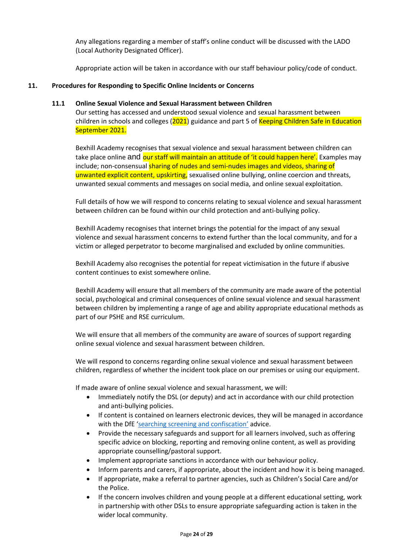Any allegations regarding a member of staff's online conduct will be discussed with the LADO (Local Authority Designated Officer).

Appropriate action will be taken in accordance with our staff behaviour policy/code of conduct.

### **11. Procedures for Responding to Specific Online Incidents or Concerns**

### **11.1 Online Sexual Violence and Sexual Harassment between Children**

Our setting has accessed and understood sexual violence and sexual harassment between children in schools and colleges (2021) guidance and part 5 of Keeping Children Safe in Education September 2021.

Bexhill Academy recognises that sexual violence and sexual harassment between children can take place online and our staff will maintain an attitude of 'it could happen here'. Examples may include; non-consensual sharing of nudes and semi-nudes images and videos, sharing of unwanted explicit content, upskirting, sexualised online bullying, online coercion and threats, unwanted sexual comments and messages on social media, and online sexual exploitation.

Full details of how we will respond to concerns relating to sexual violence and sexual harassment between children can be found within our child protection and anti-bullying policy.

Bexhill Academy recognises that internet brings the potential for the impact of any sexual violence and sexual harassment concerns to extend further than the local community, and for a victim or alleged perpetrator to become marginalised and excluded by online communities.

Bexhill Academy also recognises the potential for repeat victimisation in the future if abusive content continues to exist somewhere online.

Bexhill Academy will ensure that all members of the community are made aware of the potential social, psychological and criminal consequences of online sexual violence and sexual harassment between children by implementing a range of age and ability appropriate educational methods as part of our PSHE and RSE curriculum.

We will ensure that all members of the community are aware of sources of support regarding online sexual violence and sexual harassment between children.

We will respond to concerns regarding online sexual violence and sexual harassment between children, regardless of whether the incident took place on our premises or using our equipment.

If made aware of online sexual violence and sexual harassment, we will:

- Immediately notify the DSL (or deputy) and act in accordance with our child protection and anti-bullying policies.
- If content is contained on learners electronic devices, they will be managed in accordance with the DfE ['searching screening and confiscation'](https://www.gov.uk/government/publications/searching-screening-and-confiscation) advice.
- Provide the necessary safeguards and support for all learners involved, such as offering specific advice on blocking, reporting and removing online content, as well as providing appropriate counselling/pastoral support.
- Implement appropriate sanctions in accordance with our behaviour policy.
- Inform parents and carers, if appropriate, about the incident and how it is being managed.
- If appropriate, make a referral to partner agencies, such as Children's Social Care and/or the Police.
- If the concern involves children and young people at a different educational setting, work in partnership with other DSLs to ensure appropriate safeguarding action is taken in the wider local community.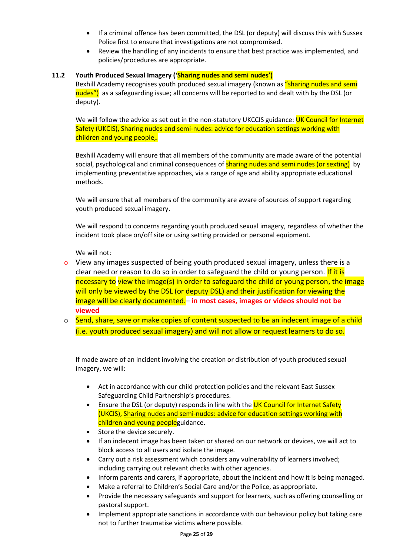- If a criminal offence has been committed, the DSL (or deputy) will discuss this with Sussex Police first to ensure that investigations are not compromised.
- Review the handling of any incidents to ensure that best practice was implemented, and policies/procedures are appropriate.

### **11.2 Youth Produced Sexual Imagery ('Sharing nudes and semi nudes')**

Bexhill Academy recognises youth produced sexual imagery (known as "sharing nudes and semi nudes") as a safeguarding issue; all concerns will be reported to and dealt with by the DSL (or deputy).

We will follow the advice as set out in the non-statutory UKCCIS guidance: UK Council for Internet Safety (UKCIS), Sharing nudes and [semi-nudes:](https://www.gov.uk/government/publications/sharing-nudes-and-semi-nudes-advice-for-education-settings-working-with-children-and-young-people) advice for education settings working with [children](https://www.gov.uk/government/publications/sharing-nudes-and-semi-nudes-advice-for-education-settings-working-with-children-and-young-people) and young people,.

Bexhill Academy will ensure that all members of the community are made aware of the potential social, psychological and criminal consequences of **sharing nudes and semi nudes (or sexting)** by implementing preventative approaches, via a range of age and ability appropriate educational methods.

We will ensure that all members of the community are aware of sources of support regarding youth produced sexual imagery.

We will respond to concerns regarding youth produced sexual imagery, regardless of whether the incident took place on/off site or using setting provided or personal equipment.

We will not:

- $\circ$  View any images suspected of being youth produced sexual imagery, unless there is a clear need or reason to do so in order to safeguard the child or young person. If it is necessary to view the image(s) in order to safeguard the child or young person, the image will only be viewed by the DSL (or deputy DSL) and their justification for viewing the image will be clearly documented.– **in most cases, images or videos should not be viewed**
- $\circ$  Send, share, save or make copies of content suspected to be an indecent image of a child (i.e. youth produced sexual imagery) and will not allow or request learners to do so.

If made aware of an incident involving the creation or distribution of youth produced sexual imagery, we will:

- Act in accordance with our child protection policies and the relevant East Sussex Safeguarding Child Partnership's procedures.
- Ensure the DSL (or deputy) responds in line with the UK Council for Internet Safety (UKCIS), Sharing nudes and [semi-nudes:](https://www.gov.uk/government/publications/sharing-nudes-and-semi-nudes-advice-for-education-settings-working-with-children-and-young-people) advice for education settings working with [children](https://www.gov.uk/government/publications/sharing-nudes-and-semi-nudes-advice-for-education-settings-working-with-children-and-young-people) and young peopleguidance.
- Store the device securely.
- If an indecent image has been taken or shared on our network or devices, we will act to block access to all users and isolate the image.
- Carry out a risk assessment which considers any vulnerability of learners involved; including carrying out relevant checks with other agencies.
- Inform parents and carers, if appropriate, about the incident and how it is being managed.
- Make a referral to Children's Social Care and/or the Police, as appropriate.
- Provide the necessary safeguards and support for learners, such as offering counselling or pastoral support.
- Implement appropriate sanctions in accordance with our behaviour policy but taking care not to further traumatise victims where possible.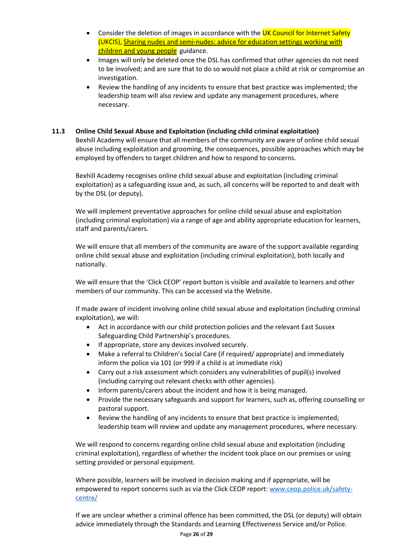- Consider the deletion of images in accordance with the UK Council for Internet Safety (UKCIS), Sharing nudes and [semi-nudes:](https://www.gov.uk/government/publications/sharing-nudes-and-semi-nudes-advice-for-education-settings-working-with-children-and-young-people) advice for education settings working with [children](https://www.gov.uk/government/publications/sharing-nudes-and-semi-nudes-advice-for-education-settings-working-with-children-and-young-people) and young people guidance.
- Images will only be deleted once the DSL has confirmed that other agencies do not need to be involved; and are sure that to do so would not place a child at risk or compromise an investigation.
- Review the handling of any incidents to ensure that best practice was implemented; the leadership team will also review and update any management procedures, where necessary.

### **11.3 Online Child Sexual Abuse and Exploitation (including child criminal exploitation)**

Bexhill Academy will ensure that all members of the community are aware of online child sexual abuse including exploitation and grooming, the consequences, possible approaches which may be employed by offenders to target children and how to respond to concerns.

Bexhill Academy recognises online child sexual abuse and exploitation (including criminal exploitation) as a safeguarding issue and, as such, all concerns will be reported to and dealt with by the DSL (or deputy).

We will implement preventative approaches for online child sexual abuse and exploitation (including criminal exploitation) via a range of age and ability appropriate education for learners, staff and parents/carers.

We will ensure that all members of the community are aware of the support available regarding online child sexual abuse and exploitation (including criminal exploitation), both locally and nationally.

We will ensure that the 'Click CEOP' report button is visible and available to learners and other members of our community. This can be accessed via the Website.

If made aware of incident involving online child sexual abuse and exploitation (including criminal exploitation), we will:

- Act in accordance with our child protection policies and the relevant East Sussex Safeguarding Child Partnership's procedures.
- If appropriate, store any devices involved securely.
- Make a referral to Children's Social Care (if required/ appropriate) and immediately inform the police via 101 (or 999 if a child is at immediate risk)
- Carry out a risk assessment which considers any vulnerabilities of pupil(s) involved (including carrying out relevant checks with other agencies).
- Inform parents/carers about the incident and how it is being managed.
- Provide the necessary safeguards and support for learners, such as, offering counselling or pastoral support.
- Review the handling of any incidents to ensure that best practice is implemented; leadership team will review and update any management procedures, where necessary.

We will respond to concerns regarding online child sexual abuse and exploitation (including criminal exploitation), regardless of whether the incident took place on our premises or using setting provided or personal equipment.

Where possible, learners will be involved in decision making and if appropriate, will be empowered to report concerns such as via the Click CEOP report: [www.ceop.police.uk/safety](http://www.ceop.police.uk/safety-centre/)[centre/](http://www.ceop.police.uk/safety-centre/)

If we are unclear whether a criminal offence has been committed, the DSL (or deputy) will obtain advice immediately through the Standards and Learning Effectiveness Service and/or Police.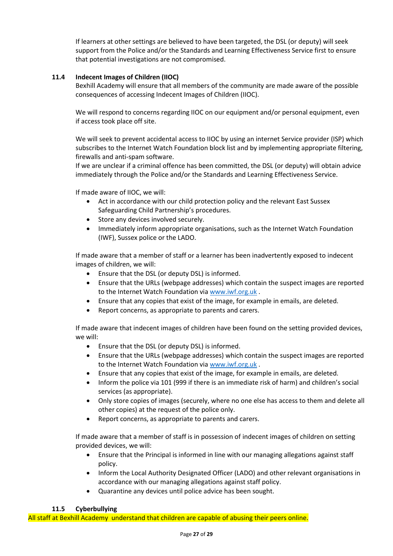If learners at other settings are believed to have been targeted, the DSL (or deputy) will seek support from the Police and/or the Standards and Learning Effectiveness Service first to ensure that potential investigations are not compromised.

# **11.4 Indecent Images of Children (IIOC)**

Bexhill Academy will ensure that all members of the community are made aware of the possible consequences of accessing Indecent Images of Children (IIOC).

We will respond to concerns regarding IIOC on our equipment and/or personal equipment, even if access took place off site.

We will seek to prevent accidental access to IIOC by using an internet Service provider (ISP) which subscribes to the Internet Watch Foundation block list and by implementing appropriate filtering, firewalls and anti-spam software.

If we are unclear if a criminal offence has been committed, the DSL (or deputy) will obtain advice immediately through the Police and/or the Standards and Learning Effectiveness Service.

If made aware of IIOC, we will:

- Act in accordance with our child protection policy and the relevant East Sussex Safeguarding Child Partnership's procedures.
- Store any devices involved securely.
- Immediately inform appropriate organisations, such as the Internet Watch Foundation (IWF), Sussex police or the LADO.

If made aware that a member of staff or a learner has been inadvertently exposed to indecent images of children, we will:

- Ensure that the DSL (or deputy DSL) is informed.
- Ensure that the URLs (webpage addresses) which contain the suspect images are reported to the Internet Watch Foundation via [www.iwf.org.uk](https://www.iwf.org.uk/) .
- Ensure that any copies that exist of the image, for example in emails, are deleted.
- Report concerns, as appropriate to parents and carers.

If made aware that indecent images of children have been found on the setting provided devices, we will:

- Ensure that the DSL (or deputy DSL) is informed.
- Ensure that the URLs (webpage addresses) which contain the suspect images are reported to the Internet Watch Foundation via [www.iwf.org.uk](https://www.iwf.org.uk/) .
- Ensure that any copies that exist of the image, for example in emails, are deleted.
- Inform the police via 101 (999 if there is an immediate risk of harm) and children's social services (as appropriate).
- Only store copies of images (securely, where no one else has access to them and delete all other copies) at the request of the police only.
- Report concerns, as appropriate to parents and carers.

If made aware that a member of staff is in possession of indecent images of children on setting provided devices, we will:

- Ensure that the Principal is informed in line with our managing allegations against staff policy.
- Inform the Local Authority Designated Officer (LADO) and other relevant organisations in accordance with our managing allegations against staff policy.
- Quarantine any devices until police advice has been sought.

### **11.5 Cyberbullying**

All staff at Bexhill Academy understand that children are capable of abusing their peers online.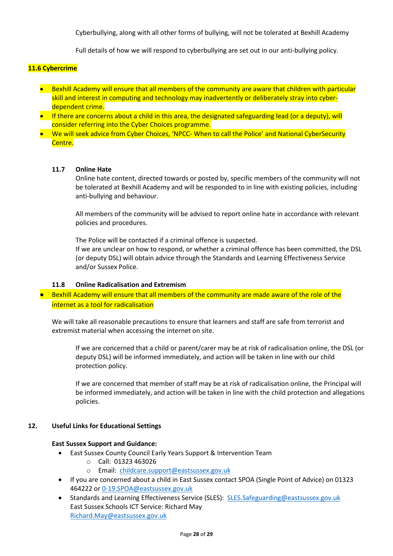Cyberbullying, along with all other forms of bullying, will not be tolerated at Bexhill Academy

Full details of how we will respond to cyberbullying are set out in our anti-bullying policy.

### **11.6 Cybercrime**

- Bexhill Academy will ensure that all members of the community are aware that children with particular skill and interest in computing and technology may inadvertently or deliberately stray into cyberdependent crime.
- If there are concerns about a child in this area, the designated safeguarding lead (or a deputy), will consider referring into the Cyber Choices programme.
- We will seek advice from Cyber Choices, 'NPCC- When to call the Police' and National CyberSecurity Centre.

### **11.7 Online Hate**

Online hate content, directed towards or posted by, specific members of the community will not be tolerated at Bexhill Academy and will be responded to in line with existing policies, including anti-bullying and behaviour.

All members of the community will be advised to report online hate in accordance with relevant policies and procedures.

The Police will be contacted if a criminal offence is suspected.

If we are unclear on how to respond, or whether a criminal offence has been committed, the DSL (or deputy DSL) will obtain advice through the Standards and Learning Effectiveness Service and/or Sussex Police.

### **11.8 Online Radicalisation and Extremism**

 Bexhill Academy will ensure that all members of the community are made aware of the role of the internet as a tool for radicalisation

We will take all reasonable precautions to ensure that learners and staff are safe from terrorist and extremist material when accessing the internet on site.

If we are concerned that a child or parent/carer may be at risk of radicalisation online, the DSL (or deputy DSL) will be informed immediately, and action will be taken in line with our child protection policy.

If we are concerned that member of staff may be at risk of radicalisation online, the Principal will be informed immediately, and action will be taken in line with the child protection and allegations policies.

### **12. Useful Links for Educational Settings**

### **East Sussex Support and Guidance:**

- East Sussex County Council Early Years Support & Intervention Team
	- o Call: 01323 463026
	- o Email: [childcare.support@eastsussex.gov.uk](mailto:childcare.support@eastsussex.gov.uk)
- If you are concerned about a child in East Sussex contact SPOA (Single Point of Advice) on 01323 464222 o[r 0-19.SPOA@eastsussex.gov.uk](mailto:0-19.SPOA@eastsussex.gov.uk)
- Standards and Learning Effectiveness Service (SLES): [SLES.Safeguarding@eastsussex.gov.uk](mailto:SLES.Safeguarding@eastsussex.gov.uk) East Sussex Schools ICT Service: Richard May [Richard.May@eastsussex.gov.uk](mailto:Richard.May@eastsussex.gov.uk)